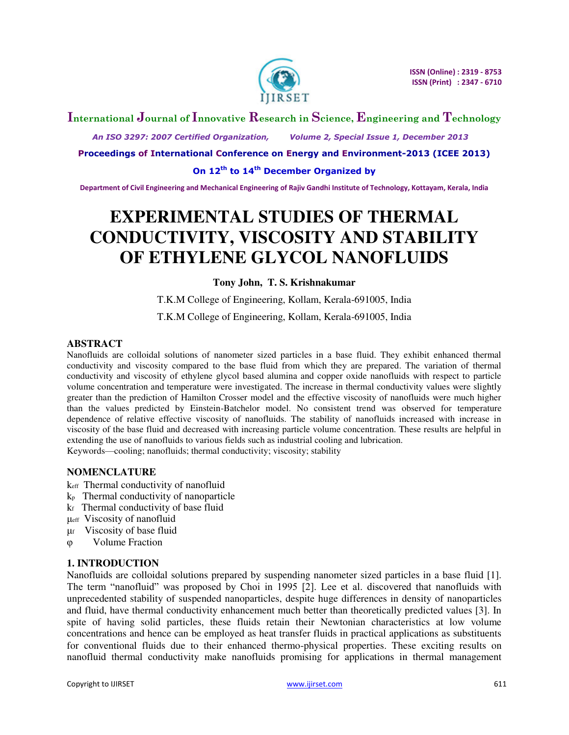

## **International Journal of Innovative Research in Science, Engineering and Technology**

 *An ISO 3297: 2007 Certified Organization, Volume 2, Special Issue 1, December 2013* 

**Proceedings of International Conference on Energy and Environment-2013 (ICEE 2013)** 

**On 12th to 14th December Organized by** 

**Department of Civil Engineering and Mechanical Engineering of Rajiv Gandhi Institute of Technology, Kottayam, Kerala, India** 

# **EXPERIMENTAL STUDIES OF THERMAL CONDUCTIVITY, VISCOSITY AND STABILITY OF ETHYLENE GLYCOL NANOFLUIDS**

## **Tony John, T. S. Krishnakumar**

T.K.M College of Engineering, Kollam, Kerala-691005, India

T.K.M College of Engineering, Kollam, Kerala-691005, India

## **ABSTRACT**

Nanofluids are colloidal solutions of nanometer sized particles in a base fluid. They exhibit enhanced thermal conductivity and viscosity compared to the base fluid from which they are prepared. The variation of thermal conductivity and viscosity of ethylene glycol based alumina and copper oxide nanofluids with respect to particle volume concentration and temperature were investigated. The increase in thermal conductivity values were slightly greater than the prediction of Hamilton Crosser model and the effective viscosity of nanofluids were much higher than the values predicted by Einstein-Batchelor model. No consistent trend was observed for temperature dependence of relative effective viscosity of nanofluids. The stability of nanofluids increased with increase in viscosity of the base fluid and decreased with increasing particle volume concentration. These results are helpful in extending the use of nanofluids to various fields such as industrial cooling and lubrication. Keywords—cooling; nanofluids; thermal conductivity; viscosity; stability

## **NOMENCLATURE**

- keff Thermal conductivity of nanofluid
- kp Thermal conductivity of nanoparticle
- kf Thermal conductivity of base fluid
- μeff Viscosity of nanofluid
- μf Viscosity of base fluid
- φ Volume Fraction

## **1. INTRODUCTION**

Nanofluids are colloidal solutions prepared by suspending nanometer sized particles in a base fluid [1]. The term "nanofluid" was proposed by Choi in 1995 [2]. Lee et al. discovered that nanofluids with unprecedented stability of suspended nanoparticles, despite huge differences in density of nanoparticles and fluid, have thermal conductivity enhancement much better than theoretically predicted values [3]. In spite of having solid particles, these fluids retain their Newtonian characteristics at low volume concentrations and hence can be employed as heat transfer fluids in practical applications as substituents for conventional fluids due to their enhanced thermo-physical properties. These exciting results on nanofluid thermal conductivity make nanofluids promising for applications in thermal management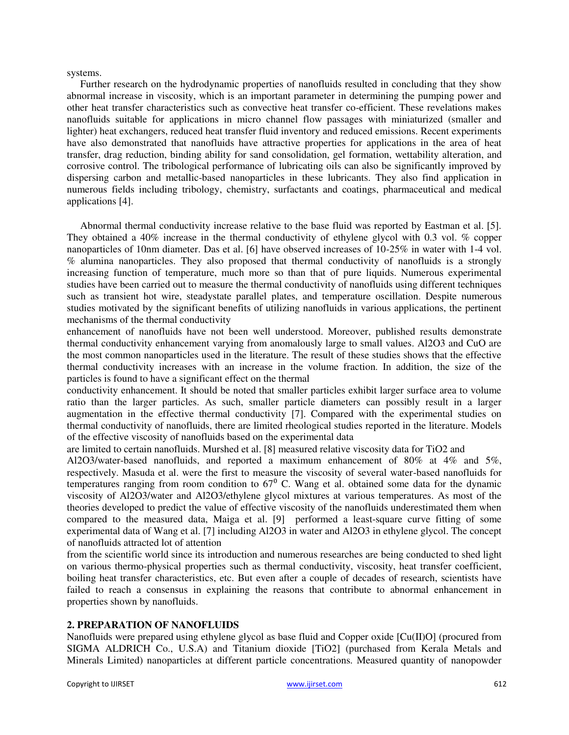#### systems.

Further research on the hydrodynamic properties of nanofluids resulted in concluding that they show abnormal increase in viscosity, which is an important parameter in determining the pumping power and other heat transfer characteristics such as convective heat transfer co-efficient. These revelations makes nanofluids suitable for applications in micro channel flow passages with miniaturized (smaller and lighter) heat exchangers, reduced heat transfer fluid inventory and reduced emissions. Recent experiments have also demonstrated that nanofluids have attractive properties for applications in the area of heat transfer, drag reduction, binding ability for sand consolidation, gel formation, wettability alteration, and corrosive control. The tribological performance of lubricating oils can also be significantly improved by dispersing carbon and metallic-based nanoparticles in these lubricants. They also find application in numerous fields including tribology, chemistry, surfactants and coatings, pharmaceutical and medical applications [4].

Abnormal thermal conductivity increase relative to the base fluid was reported by Eastman et al. [5]. They obtained a 40% increase in the thermal conductivity of ethylene glycol with 0.3 vol. % copper nanoparticles of 10nm diameter. Das et al. [6] have observed increases of 10-25% in water with 1-4 vol. % alumina nanoparticles. They also proposed that thermal conductivity of nanofluids is a strongly increasing function of temperature, much more so than that of pure liquids. Numerous experimental studies have been carried out to measure the thermal conductivity of nanofluids using different techniques such as transient hot wire, steadystate parallel plates, and temperature oscillation. Despite numerous studies motivated by the significant benefits of utilizing nanofluids in various applications, the pertinent mechanisms of the thermal conductivity

enhancement of nanofluids have not been well understood. Moreover, published results demonstrate thermal conductivity enhancement varying from anomalously large to small values. Al2O3 and CuO are the most common nanoparticles used in the literature. The result of these studies shows that the effective thermal conductivity increases with an increase in the volume fraction. In addition, the size of the particles is found to have a significant effect on the thermal

conductivity enhancement. It should be noted that smaller particles exhibit larger surface area to volume ratio than the larger particles. As such, smaller particle diameters can possibly result in a larger augmentation in the effective thermal conductivity [7]. Compared with the experimental studies on thermal conductivity of nanofluids, there are limited rheological studies reported in the literature. Models of the effective viscosity of nanofluids based on the experimental data

are limited to certain nanofluids. Murshed et al. [8] measured relative viscosity data for TiO2 and

Al2O3/water-based nanofluids, and reported a maximum enhancement of 80% at 4% and 5%, respectively. Masuda et al. were the first to measure the viscosity of several water-based nanofluids for temperatures ranging from room condition to  $67^\circ$  C. Wang et al. obtained some data for the dynamic viscosity of Al2O3/water and Al2O3/ethylene glycol mixtures at various temperatures. As most of the theories developed to predict the value of effective viscosity of the nanofluids underestimated them when compared to the measured data, Maiga et al. [9] performed a least-square curve fitting of some experimental data of Wang et al. [7] including Al2O3 in water and Al2O3 in ethylene glycol. The concept of nanofluids attracted lot of attention

from the scientific world since its introduction and numerous researches are being conducted to shed light on various thermo-physical properties such as thermal conductivity, viscosity, heat transfer coefficient, boiling heat transfer characteristics, etc. But even after a couple of decades of research, scientists have failed to reach a consensus in explaining the reasons that contribute to abnormal enhancement in properties shown by nanofluids.

#### **2. PREPARATION OF NANOFLUIDS**

Nanofluids were prepared using ethylene glycol as base fluid and Copper oxide [Cu(II)O] (procured from SIGMA ALDRICH Co., U.S.A) and Titanium dioxide [TiO2] (purchased from Kerala Metals and Minerals Limited) nanoparticles at different particle concentrations. Measured quantity of nanopowder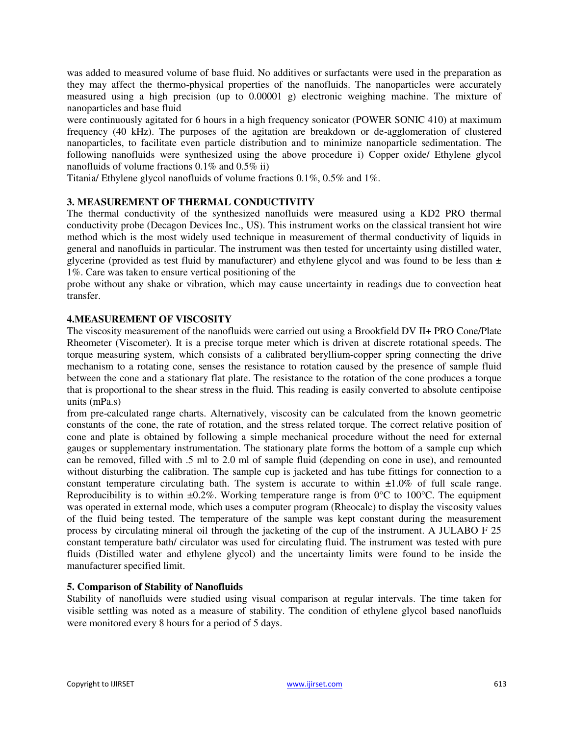was added to measured volume of base fluid. No additives or surfactants were used in the preparation as they may affect the thermo-physical properties of the nanofluids. The nanoparticles were accurately measured using a high precision (up to 0.00001 g) electronic weighing machine. The mixture of nanoparticles and base fluid

were continuously agitated for 6 hours in a high frequency sonicator (POWER SONIC 410) at maximum frequency (40 kHz). The purposes of the agitation are breakdown or de-agglomeration of clustered nanoparticles, to facilitate even particle distribution and to minimize nanoparticle sedimentation. The following nanofluids were synthesized using the above procedure i) Copper oxide/ Ethylene glycol nanofluids of volume fractions 0.1% and 0.5% ii)

Titania/ Ethylene glycol nanofluids of volume fractions 0.1%, 0.5% and 1%.

## **3. MEASUREMENT OF THERMAL CONDUCTIVITY**

The thermal conductivity of the synthesized nanofluids were measured using a KD2 PRO thermal conductivity probe (Decagon Devices Inc., US). This instrument works on the classical transient hot wire method which is the most widely used technique in measurement of thermal conductivity of liquids in general and nanofluids in particular. The instrument was then tested for uncertainty using distilled water, glycerine (provided as test fluid by manufacturer) and ethylene glycol and was found to be less than ± 1%. Care was taken to ensure vertical positioning of the

probe without any shake or vibration, which may cause uncertainty in readings due to convection heat transfer.

## **4.MEASUREMENT OF VISCOSITY**

The viscosity measurement of the nanofluids were carried out using a Brookfield DV II+ PRO Cone/Plate Rheometer (Viscometer). It is a precise torque meter which is driven at discrete rotational speeds. The torque measuring system, which consists of a calibrated beryllium-copper spring connecting the drive mechanism to a rotating cone, senses the resistance to rotation caused by the presence of sample fluid between the cone and a stationary flat plate. The resistance to the rotation of the cone produces a torque that is proportional to the shear stress in the fluid. This reading is easily converted to absolute centipoise units (mPa.s)

from pre-calculated range charts. Alternatively, viscosity can be calculated from the known geometric constants of the cone, the rate of rotation, and the stress related torque. The correct relative position of cone and plate is obtained by following a simple mechanical procedure without the need for external gauges or supplementary instrumentation. The stationary plate forms the bottom of a sample cup which can be removed, filled with .5 ml to 2.0 ml of sample fluid (depending on cone in use), and remounted without disturbing the calibration. The sample cup is jacketed and has tube fittings for connection to a constant temperature circulating bath. The system is accurate to within  $\pm 1.0\%$  of full scale range. Reproducibility is to within  $\pm 0.2\%$ . Working temperature range is from 0°C to 100°C. The equipment was operated in external mode, which uses a computer program (Rheocalc) to display the viscosity values of the fluid being tested. The temperature of the sample was kept constant during the measurement process by circulating mineral oil through the jacketing of the cup of the instrument. A JULABO F 25 constant temperature bath/ circulator was used for circulating fluid. The instrument was tested with pure fluids (Distilled water and ethylene glycol) and the uncertainty limits were found to be inside the manufacturer specified limit.

## **5. Comparison of Stability of Nanofluids**

Stability of nanofluids were studied using visual comparison at regular intervals. The time taken for visible settling was noted as a measure of stability. The condition of ethylene glycol based nanofluids were monitored every 8 hours for a period of 5 days.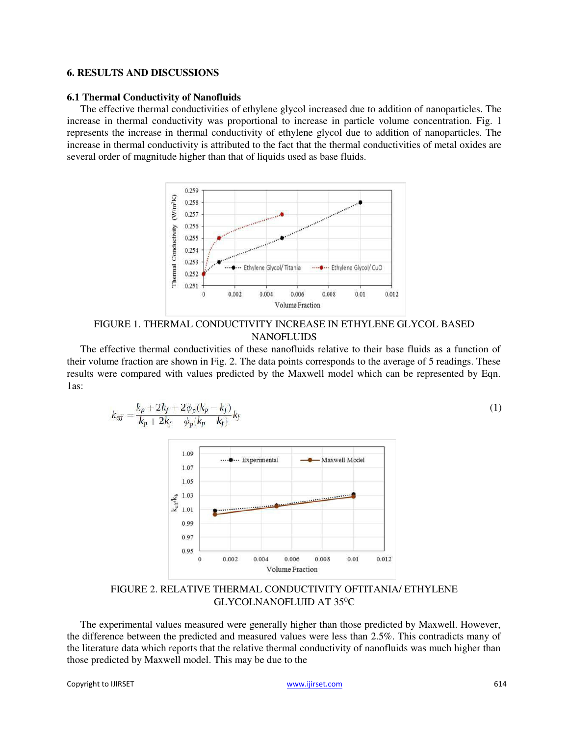#### **6. RESULTS AND DISCUSSIONS**

#### **6.1 Thermal Conductivity of Nanofluids**

The effective thermal conductivities of ethylene glycol increased due to addition of nanoparticles. The increase in thermal conductivity was proportional to increase in particle volume concentration. Fig. 1 represents the increase in thermal conductivity of ethylene glycol due to addition of nanoparticles. The increase in thermal conductivity is attributed to the fact that the thermal conductivities of metal oxides are several order of magnitude higher than that of liquids used as base fluids.



FIGURE 1. THERMAL CONDUCTIVITY INCREASE IN ETHYLENE GLYCOL BASED **NANOFLUIDS** 

The effective thermal conductivities of these nanofluids relative to their base fluids as a function of their volume fraction are shown in Fig. 2. The data points corresponds to the average of 5 readings. These results were compared with values predicted by the Maxwell model which can be represented by Eqn. 1as:

$$
k_{\text{eff}} = \frac{k_p + 2k_f + 2\phi_p(k_p - k_f)}{k_p + 2k_f \phi_p(k_p - k_f)} k_f
$$
\n(1)



FIGURE 2. RELATIVE THERMAL CONDUCTIVITY OFTITANIA/ ETHYLENE GLYCOLNANOFLUID AT 35°C

The experimental values measured were generally higher than those predicted by Maxwell. However, the difference between the predicted and measured values were less than 2.5%. This contradicts many of the literature data which reports that the relative thermal conductivity of nanofluids was much higher than those predicted by Maxwell model. This may be due to the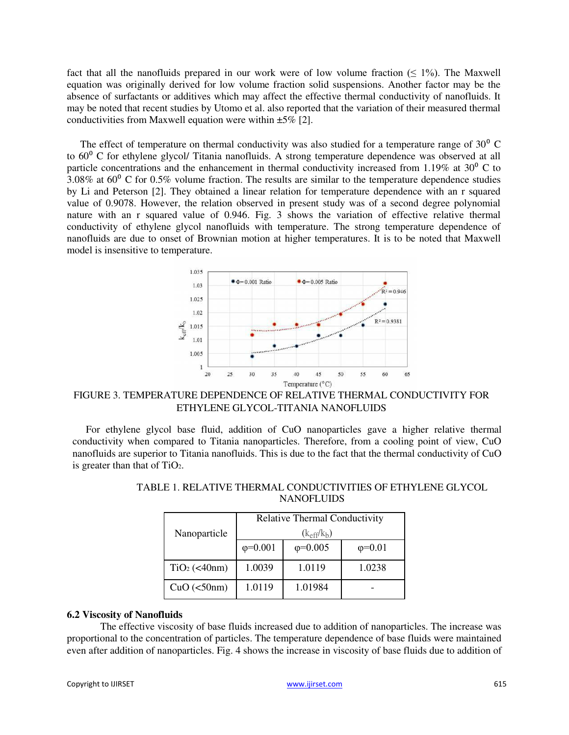fact that all the nanofluids prepared in our work were of low volume fraction  $($   $\leq$  1%). The Maxwell equation was originally derived for low volume fraction solid suspensions. Another factor may be the absence of surfactants or additives which may affect the effective thermal conductivity of nanofluids. It may be noted that recent studies by Utomo et al. also reported that the variation of their measured thermal conductivities from Maxwell equation were within  $\pm 5\%$  [2].

The effect of temperature on thermal conductivity was also studied for a temperature range of  $30^{\circ}$  C to  $60^{\circ}$  C for ethylene glycol/ Titania nanofluids. A strong temperature dependence was observed at all particle concentrations and the enhancement in thermal conductivity increased from 1.19% at 30 $^{\circ}$  C to  $3.08\%$  at  $60^{\circ}$  C for 0.5% volume fraction. The results are similar to the temperature dependence studies by Li and Peterson [2]. They obtained a linear relation for temperature dependence with an r squared value of 0.9078. However, the relation observed in present study was of a second degree polynomial nature with an r squared value of 0.946. Fig. 3 shows the variation of effective relative thermal conductivity of ethylene glycol nanofluids with temperature. The strong temperature dependence of nanofluids are due to onset of Brownian motion at higher temperatures. It is to be noted that Maxwell model is insensitive to temperature.



FIGURE 3. TEMPERATURE DEPENDENCE OF RELATIVE THERMAL CONDUCTIVITY FOR ETHYLENE GLYCOL-TITANIA NANOFLUIDS

For ethylene glycol base fluid, addition of CuO nanoparticles gave a higher relative thermal conductivity when compared to Titania nanoparticles. Therefore, from a cooling point of view, CuO nanofluids are superior to Titania nanofluids. This is due to the fact that the thermal conductivity of CuO is greater than that of TiO2.

| Nanoparticle   | <b>Relative Thermal Conductivity</b> |                |               |
|----------------|--------------------------------------|----------------|---------------|
|                | $(k_{\text{eff}}/k_{\text{b}})$      |                |               |
|                | $\phi = 0.001$                       | $\phi = 0.005$ | $\phi = 0.01$ |
| $TiO2$ (<40nm) | 1.0039                               | 1.0119         | 1.0238        |
| CuO(<50nm)     | 1.0119                               | 1.01984        |               |

TABLE 1. RELATIVE THERMAL CONDUCTIVITIES OF ETHYLENE GLYCOL **NANOFLUIDS** 

#### **6.2 Viscosity of Nanofluids**

The effective viscosity of base fluids increased due to addition of nanoparticles. The increase was proportional to the concentration of particles. The temperature dependence of base fluids were maintained even after addition of nanoparticles. Fig. 4 shows the increase in viscosity of base fluids due to addition of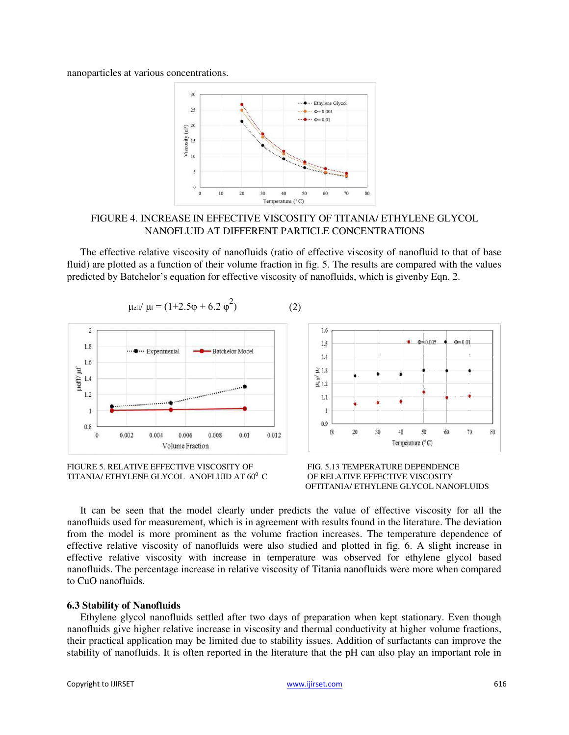nanoparticles at various concentrations.



## FIGURE 4. INCREASE IN EFFECTIVE VISCOSITY OF TITANIA/ ETHYLENE GLYCOL NANOFLUID AT DIFFERENT PARTICLE CONCENTRATIONS

The effective relative viscosity of nanofluids (ratio of effective viscosity of nanofluid to that of base fluid) are plotted as a function of their volume fraction in fig. 5. The results are compared with the values predicted by Batchelor's equation for effective viscosity of nanofluids, which is givenby Eqn. 2.







It can be seen that the model clearly under predicts the value of effective viscosity for all the nanofluids used for measurement, which is in agreement with results found in the literature. The deviation from the model is more prominent as the volume fraction increases. The temperature dependence of effective relative viscosity of nanofluids were also studied and plotted in fig. 6. A slight increase in effective relative viscosity with increase in temperature was observed for ethylene glycol based nanofluids. The percentage increase in relative viscosity of Titania nanofluids were more when compared to CuO nanofluids.

#### **6.3 Stability of Nanofluids**

Ethylene glycol nanofluids settled after two days of preparation when kept stationary. Even though nanofluids give higher relative increase in viscosity and thermal conductivity at higher volume fractions, their practical application may be limited due to stability issues. Addition of surfactants can improve the stability of nanofluids. It is often reported in the literature that the pH can also play an important role in